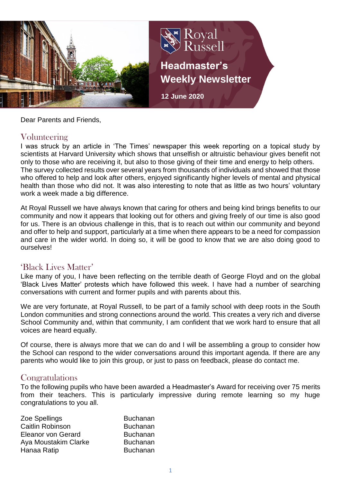

Dear Parents and Friends,

## Volunteering

I was struck by an article in 'The Times' newspaper this week reporting on a topical study by scientists at Harvard University which shows that unselfish or altruistic behaviour gives benefit not only to those who are receiving it, but also to those giving of their time and energy to help others. The survey collected results over several years from thousands of individuals and showed that those who offered to help and look after others, enjoyed significantly higher levels of mental and physical health than those who did not. It was also interesting to note that as little as two hours' voluntary work a week made a big difference.

At Royal Russell we have always known that caring for others and being kind brings benefits to our community and now it appears that looking out for others and giving freely of our time is also good for us. There is an obvious challenge in this, that is to reach out within our community and beyond and offer to help and support, particularly at a time when there appears to be a need for compassion and care in the wider world. In doing so, it will be good to know that we are also doing good to ourselves!

## 'Black Lives Matter'

Like many of you, I have been reflecting on the terrible death of George Floyd and on the global 'Black Lives Matter' protests which have followed this week. I have had a number of searching conversations with current and former pupils and with parents about this.

We are very fortunate, at Royal Russell, to be part of a family school with deep roots in the South London communities and strong connections around the world. This creates a very rich and diverse School Community and, within that community, I am confident that we work hard to ensure that all voices are heard equally.

Of course, there is always more that we can do and I will be assembling a group to consider how the School can respond to the wider conversations around this important agenda. If there are any parents who would like to join this group, or just to pass on feedback, please do contact me.

#### Congratulations

To the following pupils who have been awarded a Headmaster's Award for receiving over 75 merits from their teachers. This is particularly impressive during remote learning so my huge congratulations to you all.

| Zoe Spellings        | <b>Buchanan</b> |
|----------------------|-----------------|
| Caitlin Robinson     | <b>Buchanan</b> |
| Eleanor von Gerard   | <b>Buchanan</b> |
| Aya Moustakim Clarke | <b>Buchanan</b> |
| Hanaa Ratip          | <b>Buchanan</b> |
|                      |                 |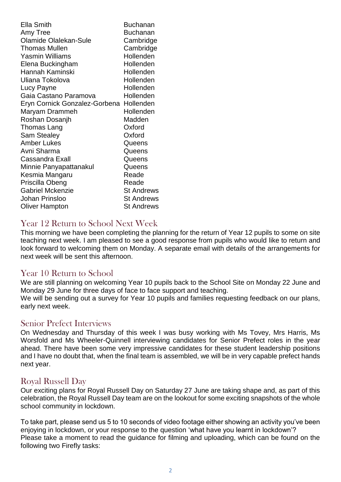| <b>Buchanan</b>                         |
|-----------------------------------------|
| <b>Buchanan</b>                         |
| Cambridge                               |
| Cambridge                               |
| Hollenden                               |
| Hollenden                               |
| Hollenden                               |
| Hollenden                               |
| Hollenden                               |
| Hollenden                               |
| Eryn Cornick Gonzalez-Gorbena Hollenden |
| Hollenden                               |
| Madden                                  |
| Oxford                                  |
| Oxford                                  |
| Queens                                  |
| Queens                                  |
| Queens                                  |
| Queens                                  |
| Reade                                   |
| Reade                                   |
| <b>St Andrews</b>                       |
| <b>St Andrews</b>                       |
| <b>St Andrews</b>                       |
|                                         |

## Year 12 Return to School Next Week

This morning we have been completing the planning for the return of Year 12 pupils to some on site teaching next week. I am pleased to see a good response from pupils who would like to return and look forward to welcoming them on Monday. A separate email with details of the arrangements for next week will be sent this afternoon.

## Year 10 Return to School

We are still planning on welcoming Year 10 pupils back to the School Site on Monday 22 June and Monday 29 June for three days of face to face support and teaching.

We will be sending out a survey for Year 10 pupils and families requesting feedback on our plans, early next week.

#### Senior Prefect Interviews

On Wednesday and Thursday of this week I was busy working with Ms Tovey, Mrs Harris, Ms Worsfold and Ms Wheeler-Quinnell interviewing candidates for Senior Prefect roles in the year ahead. There have been some very impressive candidates for these student leadership positions and I have no doubt that, when the final team is assembled, we will be in very capable prefect hands next year.

#### Royal Russell Day

Our exciting plans for Royal Russell Day on Saturday 27 June are taking shape and, as part of this celebration, the Royal Russell Day team are on the lookout for some exciting snapshots of the whole school community in lockdown.

To take part, please send us 5 to 10 seconds of video footage either showing an activity you've been enjoying in lockdown, or your response to the question 'what have you learnt in lockdown'? Please take a moment to read the guidance for filming and uploading, which can be found on the following two Firefly tasks: